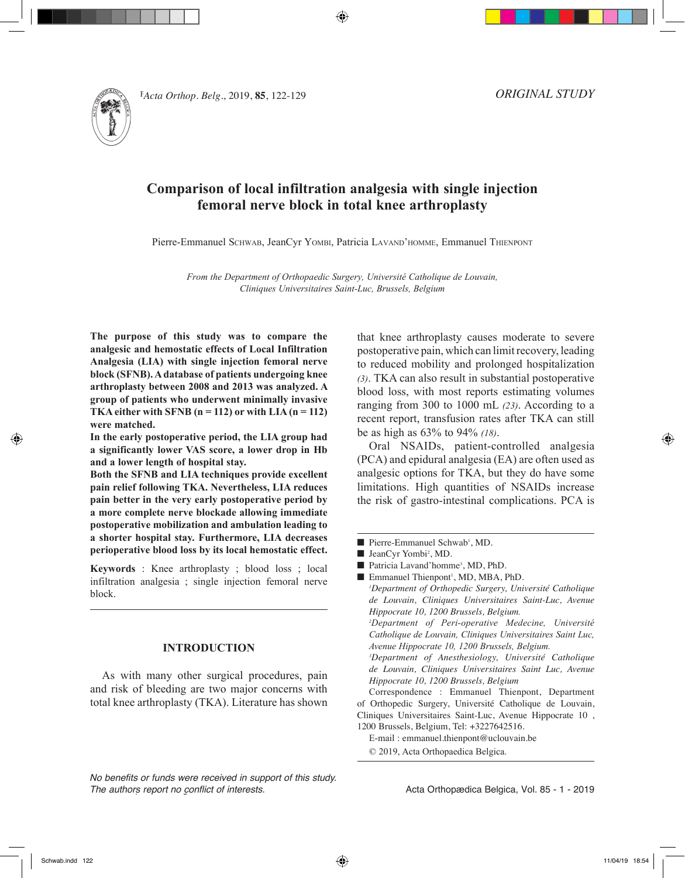

**122 Pacta Orthop. Belg., 2019, <b>85**, 122-129 *ORIGINA* 

*ORIGINAL STUDY*

# **Comparison of local infiltration analgesia with single injection femoral nerve block in total knee arthroplasty**

Pierre-Emmanuel SCHWAB, JeanCyr YOMBI, Patricia LAVAND'HOMME, Emmanuel THIENPONT

*From the Department of Orthopaedic Surgery, Université Catholique de Louvain, Cliniques Universitaires Saint-Luc, Brussels, Belgium*

**The purpose of this study was to compare the analgesic and hemostatic effects of Local Infiltration Analgesia (LIA) with single injection femoral nerve block (SFNB). A database of patients undergoing knee arthroplasty between 2008 and 2013 was analyzed. A group of patients who underwent minimally invasive TKA either with SFNB (n = 112) or with LIA (n = 112) were matched.** 

**In the early postoperative period, the LIA group had a significantly lower VAS score, a lower drop in Hb and a lower length of hospital stay.**

**Both the SFNB and LIA techniques provide excellent pain relief following TKA. Nevertheless, LIA reduces pain better in the very early postoperative period by a more complete nerve blockade allowing immediate postoperative mobilization and ambulation leading to a shorter hospital stay. Furthermore, LIA decreases perioperative blood loss by its local hemostatic effect.** 

**Keywords** : Knee arthroplasty ; blood loss ; local infiltration analgesia ; single injection femoral nerve block.

# **INTRODUCTION**

As with many other surgical procedures, pain and risk of bleeding are two major concerns with total knee arthroplasty (TKA). Literature has shown that knee arthroplasty causes moderate to severe postoperative pain, which can limit recovery, leading to reduced mobility and prolonged hospitalization *(3)*. TKA can also result in substantial postoperative blood loss, with most reports estimating volumes ranging from 300 to 1000 mL *(23)*. According to a recent report, transfusion rates after TKA can still be as high as 63% to 94% *(18)*.

Oral NSAIDs, patient-controlled analgesia (PCA) and epidural analgesia (EA) are often used as analgesic options for TKA, but they do have some limitations. High quantities of NSAIDs increase the risk of gastro-intestinal complications. PCA is

*1 Department of Orthopedic Surgery, Université Catholique de Louvain, Cliniques Universitaires Saint-Luc, Avenue Hippocrate 10, 1200 Brussels, Belgium.*

*2 Department of Peri-operative Medecine, Université Catholique de Louvain, Cliniques Universitaires Saint Luc, Avenue Hippocrate 10, 1200 Brussels, Belgium.*

*3 Department of Anesthesiology, Université Catholique de Louvain, Cliniques Universitaires Saint Luc, Avenue Hippocrate 10, 1200 Brussels, Belgium*

Correspondence : Emmanuel Thienpont, Department of Orthopedic Surgery, Université Catholique de Louvain, Cliniques Universitaires Saint-Luc, Avenue Hippocrate 10 , 1200 Brussels, Belgium, Tel: +3227642516.

E-mail : emmanuel.thienpont@uclouvain.be

© 2019, Acta Orthopaedica Belgica.

*No benefits or funds were received in support of this study. The authors report no conflict of interests.* 

<sup>■</sup> Pierre-Emmanuel Schwab<sup>1</sup>, MD.

<sup>■</sup> JeanCyr Yombi<sup>2</sup>, MD.

<sup>■</sup> Patricia Lavand'homme<sup>3</sup>, MD, PhD.

<sup>■</sup> Emmanuel Thienpont<sup>1</sup>, MD, MBA, PhD.

Acta Orthopædica Belgica, Vol. 85 - 1 - 2019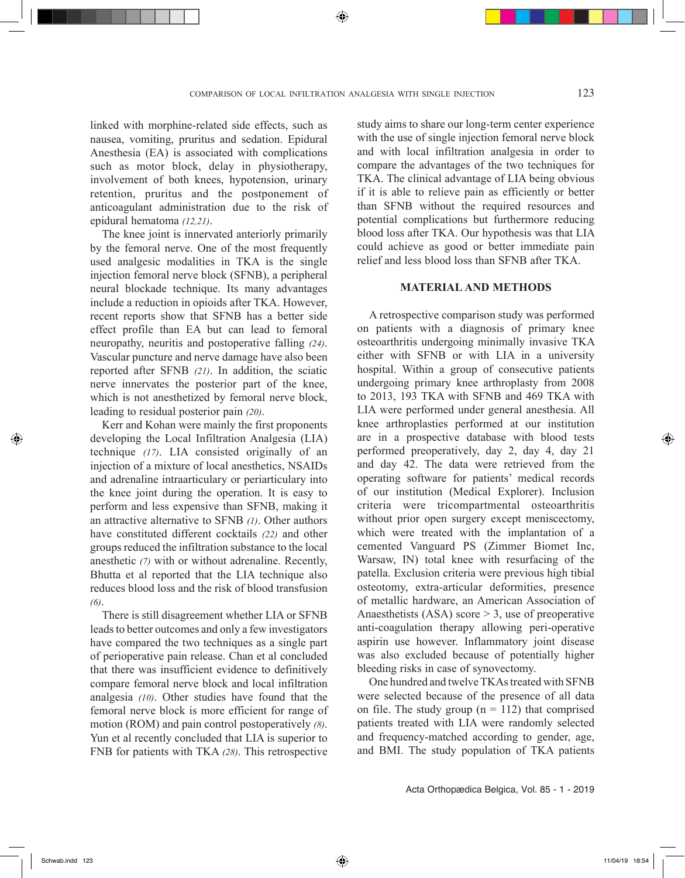linked with morphine-related side effects, such as nausea, vomiting, pruritus and sedation. Epidural Anesthesia (EA) is associated with complications such as motor block, delay in physiotherapy, involvement of both knees, hypotension, urinary retention, pruritus and the postponement of anticoagulant administration due to the risk of epidural hematoma *(12,21)*.

The knee joint is innervated anteriorly primarily by the femoral nerve. One of the most frequently used analgesic modalities in TKA is the single injection femoral nerve block (SFNB), a peripheral neural blockade technique. Its many advantages include a reduction in opioids after TKA. However, recent reports show that SFNB has a better side effect profile than EA but can lead to femoral neuropathy, neuritis and postoperative falling *(24)*. Vascular puncture and nerve damage have also been reported after SFNB *(21)*. In addition, the sciatic nerve innervates the posterior part of the knee, which is not anesthetized by femoral nerve block, leading to residual posterior pain *(20)*.

Kerr and Kohan were mainly the first proponents developing the Local Infiltration Analgesia (LIA) technique *(17)*. LIA consisted originally of an injection of a mixture of local anesthetics, NSAIDs and adrenaline intraarticulary or periarticulary into the knee joint during the operation. It is easy to perform and less expensive than SFNB, making it an attractive alternative to SFNB *(1)*. Other authors have constituted different cocktails *(22)* and other groups reduced the infiltration substance to the local anesthetic *(7)* with or without adrenaline. Recently, Bhutta et al reported that the LIA technique also reduces blood loss and the risk of blood transfusion *(6)*.

There is still disagreement whether LIA or SFNB leads to better outcomes and only a few investigators have compared the two techniques as a single part of perioperative pain release. Chan et al concluded that there was insufficient evidence to definitively compare femoral nerve block and local infiltration analgesia *(10)*. Other studies have found that the femoral nerve block is more efficient for range of motion (ROM) and pain control postoperatively *(8)*. Yun et al recently concluded that LIA is superior to FNB for patients with TKA *(28)*. This retrospective

study aims to share our long-term center experience with the use of single injection femoral nerve block and with local infiltration analgesia in order to compare the advantages of the two techniques for TKA. The clinical advantage of LIA being obvious if it is able to relieve pain as efficiently or better than SFNB without the required resources and potential complications but furthermore reducing blood loss after TKA. Our hypothesis was that LIA could achieve as good or better immediate pain relief and less blood loss than SFNB after TKA.

## **MATERIAL AND METHODS**

A retrospective comparison study was performed on patients with a diagnosis of primary knee osteoarthritis undergoing minimally invasive TKA either with SFNB or with LIA in a university hospital. Within a group of consecutive patients undergoing primary knee arthroplasty from 2008 to 2013, 193 TKA with SFNB and 469 TKA with LIA were performed under general anesthesia. All knee arthroplasties performed at our institution are in a prospective database with blood tests performed preoperatively, day 2, day 4, day 21 and day 42. The data were retrieved from the operating software for patients' medical records of our institution (Medical Explorer). Inclusion criteria were tricompartmental osteoarthritis without prior open surgery except meniscectomy, which were treated with the implantation of a cemented Vanguard PS (Zimmer Biomet Inc, Warsaw, IN) total knee with resurfacing of the patella. Exclusion criteria were previous high tibial osteotomy, extra-articular deformities, presence of metallic hardware, an American Association of Anaesthetists  $(ASA)$  score  $> 3$ , use of preoperative anti-coagulation therapy allowing peri-operative aspirin use however. Inflammatory joint disease was also excluded because of potentially higher bleeding risks in case of synovectomy.

One hundred and twelve TKAs treated with SFNB were selected because of the presence of all data on file. The study group  $(n = 112)$  that comprised patients treated with LIA were randomly selected and frequency-matched according to gender, age, and BMI. The study population of TKA patients

◈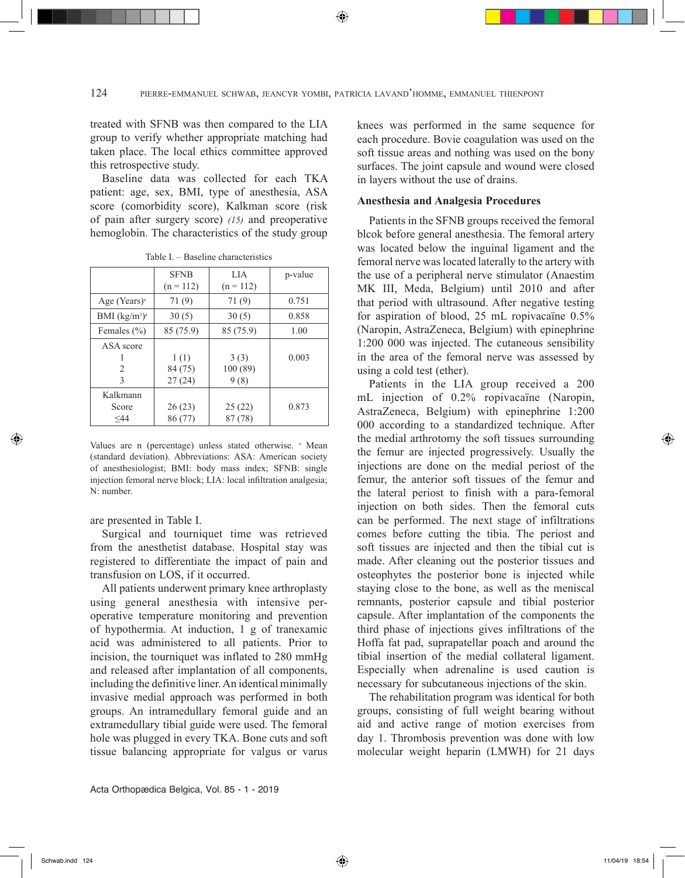⊕

treated with SFNB was then compared to the LIA group to verify whether appropriate matching had taken place. The local ethics committee approved this retrospective study.

Baseline data was collected for each TKA patient: age, sex, BMI, type of anesthesia, ASA score (comorbidity score), Kalkman score (risk of pain after surgery score) *(15)* and preoperative hemoglobin. The characteristics of the study group

|                          | <b>SFNB</b><br>$(n = 112)$ | LIA<br>$(n = 112)$      | p-value |
|--------------------------|----------------------------|-------------------------|---------|
| Age (Years) <sup>a</sup> | 71 (9)                     | 71 (9)                  | 0.751   |
| BMI $(kg/m2)a$           | 30(5)                      | 30(5)                   | 0.858   |
| Females $(\% )$          | 85 (75.9)                  | 85 (75.9)               | 1.00    |
| ASA score<br>2<br>3      | 1(1)<br>84 (75)<br>27(24)  | 3(3)<br>100(89)<br>9(8) | 0.003   |
| Kalkmann<br>Score<br><44 | 26(23)<br>86 (77)          | 25(22)<br>87 (78)       | 0.873   |

Table I. – Baseline characteristics

Values are n (percentage) unless stated otherwise. <sup>a</sup> Mean (standard deviation). Abbreviations: ASA: American society of anesthesiologist; BMI: body mass index; SFNB: single injection femoral nerve block; LIA: local infiltration analgesia; N: number.

are presented in Table I.

Surgical and tourniquet time was retrieved from the anesthetist database. Hospital stay was registered to differentiate the impact of pain and transfusion on LOS, if it occurred.

All patients underwent primary knee arthroplasty using general anesthesia with intensive peroperative temperature monitoring and prevention of hypothermia. At induction, 1 g of tranexamic acid was administered to all patients. Prior to incision, the tourniquet was inflated to 280 mmHg and released after implantation of all components, including the definitive liner. An identical minimally invasive medial approach was performed in both groups. An intramedullary femoral guide and an extramedullary tibial guide were used. The femoral hole was plugged in every TKA. Bone cuts and soft tissue balancing appropriate for valgus or varus knees was performed in the same sequence for each procedure. Bovie coagulation was used on the soft tissue areas and nothing was used on the bony surfaces. The joint capsule and wound were closed in layers without the use of drains.

## **Anesthesia and Analgesia Procedures**

Patients in the SFNB groups received the femoral blcok before general anesthesia. The femoral artery was located below the inguinal ligament and the femoral nerve was located laterally to the artery with the use of a peripheral nerve stimulator (Anaestim MK III, Meda, Belgium) until 2010 and after that period with ultrasound. After negative testing for aspiration of blood, 25 mL ropivacaïne 0.5% (Naropin, AstraZeneca, Belgium) with epinephrine 1:200 000 was injected. The cutaneous sensibility in the area of the femoral nerve was assessed by using a cold test (ether).

Patients in the LIA group received a 200 mL injection of 0.2% ropivacaïne (Naropin, AstraZeneca, Belgium) with epinephrine 1:200 000 according to a standardized technique. After the medial arthrotomy the soft tissues surrounding the femur are injected progressively. Usually the injections are done on the medial periost of the femur, the anterior soft tissues of the femur and the lateral periost to finish with a para-femoral injection on both sides. Then the femoral cuts can be performed. The next stage of infiltrations comes before cutting the tibia. The periost and soft tissues are injected and then the tibial cut is made. After cleaning out the posterior tissues and osteophytes the posterior bone is injected while staying close to the bone, as well as the meniscal remnants, posterior capsule and tibial posterior capsule. After implantation of the components the third phase of injections gives infiltrations of the Hoffa fat pad, suprapatellar poach and around the tibial insertion of the medial collateral ligament. Especially when adrenaline is used caution is necessary for subcutaneous injections of the skin.

The rehabilitation program was identical for both groups, consisting of full weight bearing without aid and active range of motion exercises from day 1. Thrombosis prevention was done with low molecular weight heparin (LMWH) for 21 days

◈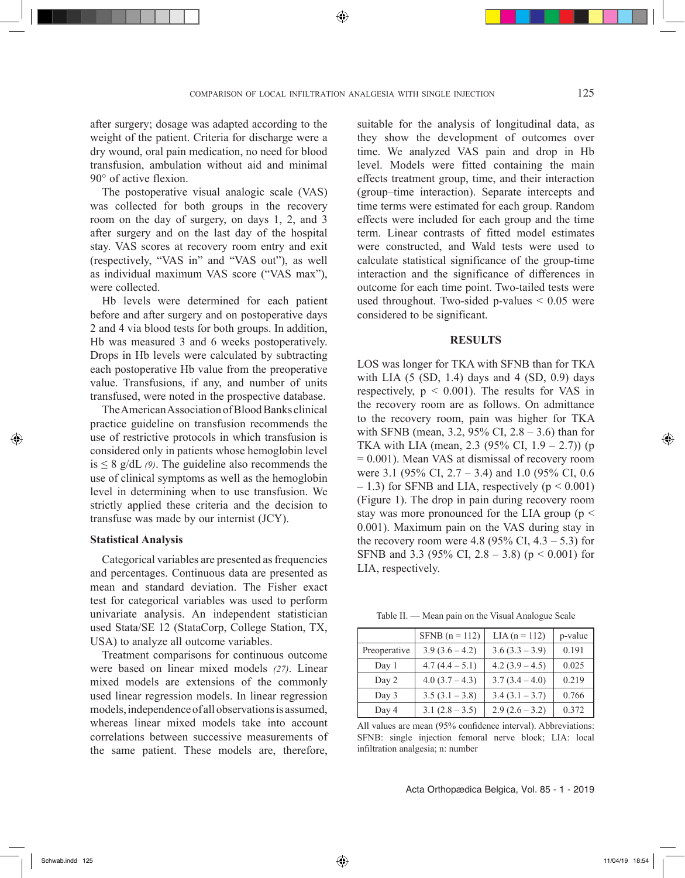⊕

after surgery; dosage was adapted according to the weight of the patient. Criteria for discharge were a dry wound, oral pain medication, no need for blood transfusion, ambulation without aid and minimal 90° of active flexion.

The postoperative visual analogic scale (VAS) was collected for both groups in the recovery room on the day of surgery, on days 1, 2, and 3 after surgery and on the last day of the hospital stay. VAS scores at recovery room entry and exit (respectively, "VAS in" and "VAS out"), as well as individual maximum VAS score ("VAS max"), were collected.

Hb levels were determined for each patient before and after surgery and on postoperative days 2 and 4 via blood tests for both groups. In addition, Hb was measured 3 and 6 weeks postoperatively. Drops in Hb levels were calculated by subtracting each postoperative Hb value from the preoperative value. Transfusions, if any, and number of units transfused, were noted in the prospective database.

The American Association of Blood Banks clinical practice guideline on transfusion recommends the use of restrictive protocols in which transfusion is considered only in patients whose hemoglobin level is  $\leq 8$  g/dL (9). The guideline also recommends the use of clinical symptoms as well as the hemoglobin level in determining when to use transfusion. We strictly applied these criteria and the decision to transfuse was made by our internist (JCY).

#### **Statistical Analysis**

Categorical variables are presented as frequencies and percentages. Continuous data are presented as mean and standard deviation. The Fisher exact test for categorical variables was used to perform univariate analysis. An independent statistician used Stata/SE 12 (StataCorp, College Station, TX, USA) to analyze all outcome variables.

Treatment comparisons for continuous outcome were based on linear mixed models *(27)*. Linear mixed models are extensions of the commonly used linear regression models. In linear regression models, independence of all observations is assumed, whereas linear mixed models take into account correlations between successive measurements of the same patient. These models are, therefore,

suitable for the analysis of longitudinal data, as they show the development of outcomes over time. We analyzed VAS pain and drop in Hb level. Models were fitted containing the main effects treatment group, time, and their interaction (group–time interaction). Separate intercepts and time terms were estimated for each group. Random effects were included for each group and the time term. Linear contrasts of fitted model estimates were constructed, and Wald tests were used to calculate statistical significance of the group-time interaction and the significance of differences in outcome for each time point. Two-tailed tests were used throughout. Two-sided p-values  $\leq 0.05$  were considered to be significant.

#### **RESULTS**

LOS was longer for TKA with SFNB than for TKA with LIA  $(5 (SD, 1.4)$  days and  $4 (SD, 0.9)$  days respectively,  $p \le 0.001$ ). The results for VAS in the recovery room are as follows. On admittance to the recovery room, pain was higher for TKA with SFNB (mean, 3.2, 95% CI, 2.8 – 3.6) than for TKA with LIA (mean, 2.3 (95% CI, 1.9 – 2.7)) (p = 0.001). Mean VAS at dismissal of recovery room were 3.1 (95% CI, 2.7 – 3.4) and 1.0 (95% CI, 0.6)  $- 1.3$ ) for SFNB and LIA, respectively ( $p \le 0.001$ ) (Figure 1). The drop in pain during recovery room stay was more pronounced for the LIA group ( $p <$ 0.001). Maximum pain on the VAS during stay in the recovery room were 4.8 (95% CI,  $4.3 - 5.3$ ) for SFNB and 3.3 (95% CI, 2.8 – 3.8) (p < 0.001) for LIA, respectively.

Table II. — Mean pain on the Visual Analogue Scale

|              | SFNB $(n = 112)$ | $LIA (n = 112)$  | p-value |
|--------------|------------------|------------------|---------|
| Preoperative | $3.9(3.6 - 4.2)$ | $3.6(3.3 - 3.9)$ | 0.191   |
| Day 1        | $4.7(4.4-5.1)$   | $4.2(3.9 - 4.5)$ | 0.025   |
| Day 2        | $4.0(3.7 - 4.3)$ | $3.7(3.4 - 4.0)$ | 0.219   |
| Day 3        | $3.5(3.1 - 3.8)$ | $3.4(3.1 - 3.7)$ | 0.766   |
| Day 4        | $3.1(2.8 - 3.5)$ | $2.9(2.6 - 3.2)$ | 0.372   |

All values are mean (95% confidence interval). Abbreviations: SFNB: single injection femoral nerve block; LIA: local infiltration analgesia; n: number

Acta Orthopædica Belgica, Vol. 85 - 1 - 2019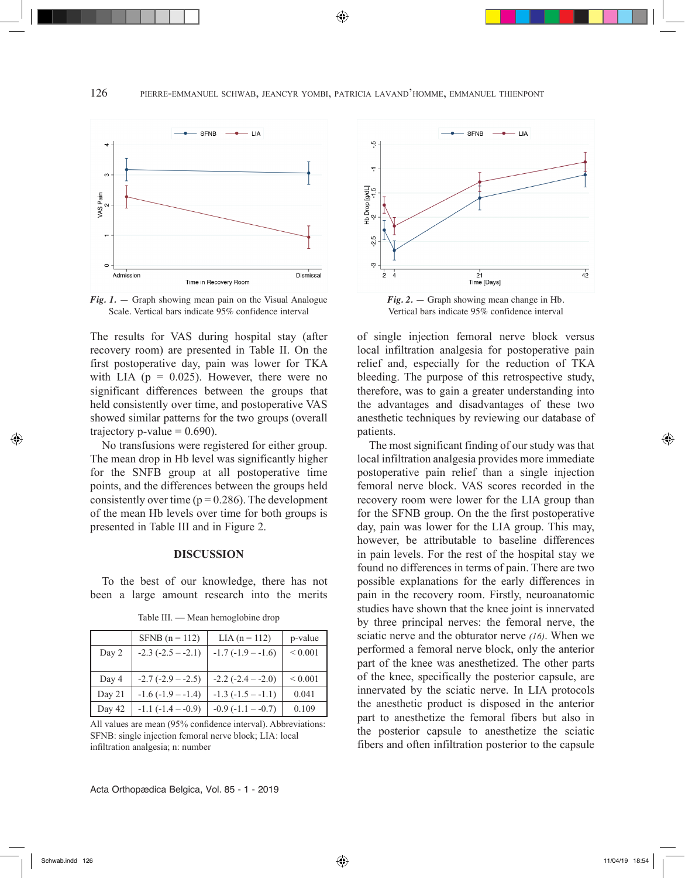126 pierre-emmanuel schwab, jeancyr yombi, patricia lavand'homme, emmanuel thienpont

◈



*Fig. 1.* — Graph showing mean pain on the Visual Analogue Scale. Vertical bars indicate 95% confidence interval

The results for VAS during hospital stay (after recovery room) are presented in Table II. On the first postoperative day, pain was lower for TKA with LIA ( $p = 0.025$ ). However, there were no significant differences between the groups that held consistently over time, and postoperative VAS showed similar patterns for the two groups (overall trajectory p-value  $= 0.690$ ).

No transfusions were registered for either group. The mean drop in Hb level was significantly higher for the SNFB group at all postoperative time points, and the differences between the groups held consistently over time ( $p = 0.286$ ). The development of the mean Hb levels over time for both groups is presented in Table III and in Figure 2.

#### **DISCUSSION**

To the best of our knowledge, there has not been a large amount research into the merits

|        | SFNB $(n = 112)$       | $LIA (n = 112)$         | p-value      |
|--------|------------------------|-------------------------|--------------|
| Day 2  | $-2.3$ $(-2.5 - -2.1)$ | $-1.7(-1.9 - -1.6)$     | ${}< 0.001$  |
|        |                        |                         |              |
| Day 4  | $-2.7$ $(-2.9 - -2.5)$ | $-2.2$ ( $-2.4 - 2.0$ ) | ${}_{0.001}$ |
| Day 21 | $-1.6(-1.9 - -1.4)$    | $-1.3$ $(-1.5 - -1.1)$  | 0.041        |
| Day 42 | $-1.1$ $(-1.4 - 0.9)$  | $-0.9$ $(-1.1 - -0.7)$  | 0.109        |

Table III. — Mean hemoglobine drop

All values are mean (95% confidence interval). Abbreviations: SFNB: single injection femoral nerve block; LIA: local infiltration analgesia; n: number





*Fig. 2.* — Graph showing mean change in Hb. Vertical bars indicate 95% confidence interval

of single injection femoral nerve block versus local infiltration analgesia for postoperative pain relief and, especially for the reduction of TKA bleeding. The purpose of this retrospective study, therefore, was to gain a greater understanding into the advantages and disadvantages of these two anesthetic techniques by reviewing our database of patients.

The most significant finding of our study was that local infiltration analgesia provides more immediate postoperative pain relief than a single injection femoral nerve block. VAS scores recorded in the recovery room were lower for the LIA group than for the SFNB group. On the the first postoperative day, pain was lower for the LIA group. This may, however, be attributable to baseline differences in pain levels. For the rest of the hospital stay we found no differences in terms of pain. There are two possible explanations for the early differences in pain in the recovery room. Firstly, neuroanatomic studies have shown that the knee joint is innervated by three principal nerves: the femoral nerve, the sciatic nerve and the obturator nerve *(16)*. When we performed a femoral nerve block, only the anterior part of the knee was anesthetized. The other parts of the knee, specifically the posterior capsule, are innervated by the sciatic nerve. In LIA protocols the anesthetic product is disposed in the anterior part to anesthetize the femoral fibers but also in the posterior capsule to anesthetize the sciatic fibers and often infiltration posterior to the capsule

◈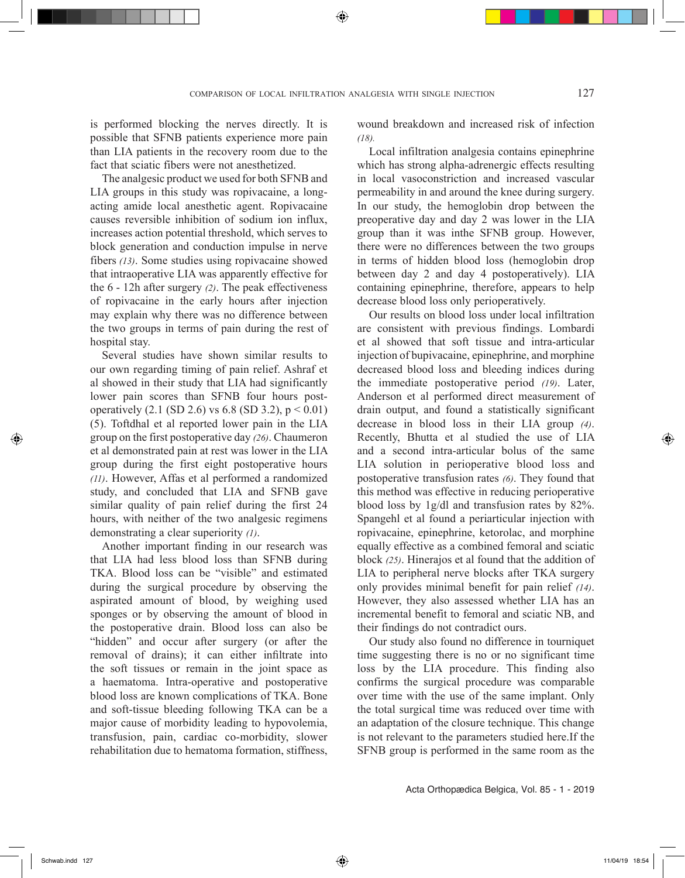is performed blocking the nerves directly. It is possible that SFNB patients experience more pain than LIA patients in the recovery room due to the fact that sciatic fibers were not anesthetized.

The analgesic product we used for both SFNB and LIA groups in this study was ropivacaine, a longacting amide local anesthetic agent. Ropivacaine causes reversible inhibition of sodium ion influx, increases action potential threshold, which serves to block generation and conduction impulse in nerve fibers *(13)*. Some studies using ropivacaine showed that intraoperative LIA was apparently effective for the 6 - 12h after surgery *(2)*. The peak effectiveness of ropivacaine in the early hours after injection may explain why there was no difference between the two groups in terms of pain during the rest of hospital stay.

Several studies have shown similar results to our own regarding timing of pain relief. Ashraf et al showed in their study that LIA had significantly lower pain scores than SFNB four hours postoperatively  $(2.1 \text{ (SD 2.6) vs } 6.8 \text{ (SD 3.2), } p < 0.01)$ (5). Toftdhal et al reported lower pain in the LIA group on the first postoperative day *(26)*. Chaumeron et al demonstrated pain at rest was lower in the LIA group during the first eight postoperative hours *(11)*. However, Affas et al performed a randomized study, and concluded that LIA and SFNB gave similar quality of pain relief during the first 24 hours, with neither of the two analgesic regimens demonstrating a clear superiority *(1)*.

Another important finding in our research was that LIA had less blood loss than SFNB during TKA. Blood loss can be "visible" and estimated during the surgical procedure by observing the aspirated amount of blood, by weighing used sponges or by observing the amount of blood in the postoperative drain. Blood loss can also be "hidden" and occur after surgery (or after the removal of drains); it can either infiltrate into the soft tissues or remain in the joint space as a haematoma. Intra-operative and postoperative blood loss are known complications of TKA. Bone and soft-tissue bleeding following TKA can be a major cause of morbidity leading to hypovolemia, transfusion, pain, cardiac co-morbidity, slower rehabilitation due to hematoma formation, stiffness,

wound breakdown and increased risk of infection *(18).*

Local infiltration analgesia contains epinephrine which has strong alpha-adrenergic effects resulting in local vasoconstriction and increased vascular permeability in and around the knee during surgery. In our study, the hemoglobin drop between the preoperative day and day 2 was lower in the LIA group than it was inthe SFNB group. However, there were no differences between the two groups in terms of hidden blood loss (hemoglobin drop between day 2 and day 4 postoperatively). LIA containing epinephrine, therefore, appears to help decrease blood loss only perioperatively.

Our results on blood loss under local infiltration are consistent with previous findings. Lombardi et al showed that soft tissue and intra-articular injection of bupivacaine, epinephrine, and morphine decreased blood loss and bleeding indices during the immediate postoperative period *(19)*. Later, Anderson et al performed direct measurement of drain output, and found a statistically significant decrease in blood loss in their LIA group *(4)*. Recently, Bhutta et al studied the use of LIA and a second intra-articular bolus of the same LIA solution in perioperative blood loss and postoperative transfusion rates *(6)*. They found that this method was effective in reducing perioperative blood loss by 1g/dl and transfusion rates by 82%. Spangehl et al found a periarticular injection with ropivacaine, epinephrine, ketorolac, and morphine equally effective as a combined femoral and sciatic block *(25)*. Hinerajos et al found that the addition of LIA to peripheral nerve blocks after TKA surgery only provides minimal benefit for pain relief *(14)*. However, they also assessed whether LIA has an incremental benefit to femoral and sciatic NB, and their findings do not contradict ours.

Our study also found no difference in tourniquet time suggesting there is no or no significant time loss by the LIA procedure. This finding also confirms the surgical procedure was comparable over time with the use of the same implant. Only the total surgical time was reduced over time with an adaptation of the closure technique. This change is not relevant to the parameters studied here.If the SFNB group is performed in the same room as the

Acta Orthopædica Belgica, Vol. 85 - 1 - 2019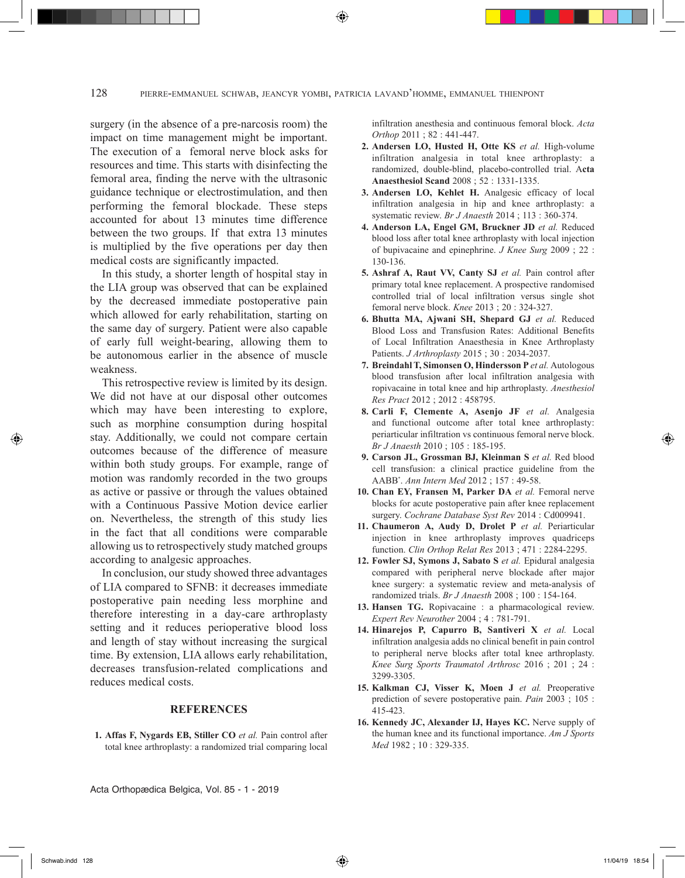surgery (in the absence of a pre-narcosis room) the impact on time management might be important. The execution of a femoral nerve block asks for resources and time. This starts with disinfecting the femoral area, finding the nerve with the ultrasonic guidance technique or electrostimulation, and then performing the femoral blockade. These steps accounted for about 13 minutes time difference between the two groups. If that extra 13 minutes is multiplied by the five operations per day then medical costs are significantly impacted.

In this study, a shorter length of hospital stay in the LIA group was observed that can be explained by the decreased immediate postoperative pain which allowed for early rehabilitation, starting on the same day of surgery. Patient were also capable of early full weight-bearing, allowing them to be autonomous earlier in the absence of muscle weakness.

This retrospective review is limited by its design. We did not have at our disposal other outcomes which may have been interesting to explore, such as morphine consumption during hospital stay. Additionally, we could not compare certain outcomes because of the difference of measure within both study groups. For example, range of motion was randomly recorded in the two groups as active or passive or through the values obtained with a Continuous Passive Motion device earlier on. Nevertheless, the strength of this study lies in the fact that all conditions were comparable allowing us to retrospectively study matched groups according to analgesic approaches.

In conclusion, our study showed three advantages of LIA compared to SFNB: it decreases immediate postoperative pain needing less morphine and therefore interesting in a day-care arthroplasty setting and it reduces perioperative blood loss and length of stay without increasing the surgical time. By extension, LIA allows early rehabilitation, decreases transfusion-related complications and reduces medical costs.

# **REFERENCES**

**1. Affas F, Nygards EB, Stiller CO** *et al.* Pain control after total knee arthroplasty: a randomized trial comparing local infiltration anesthesia and continuous femoral block. *Acta Orthop* 2011 ; 82 : 441-447.

- **2. Andersen LO, Husted H, Otte KS** *et al.* High-volume infiltration analgesia in total knee arthroplasty: a randomized, double-blind, placebo-controlled trial. A**cta Anaesthesiol Scand** 2008 ; 52 : 1331-1335.
- **3. Andersen LO, Kehlet H.** Analgesic efficacy of local infiltration analgesia in hip and knee arthroplasty: a systematic review. *Br J Anaesth* 2014 ; 113 : 360-374.
- **4. Anderson LA, Engel GM, Bruckner JD** *et al.* Reduced blood loss after total knee arthroplasty with local injection of bupivacaine and epinephrine. *J Knee Surg* 2009 ; 22 : 130-136.
- **5. Ashraf A, Raut VV, Canty SJ** *et al.* Pain control after primary total knee replacement. A prospective randomised controlled trial of local infiltration versus single shot femoral nerve block. *Knee* 2013 ; 20 : 324-327.
- **6. Bhutta MA, Ajwani SH, Shepard GJ** *et al.* Reduced Blood Loss and Transfusion Rates: Additional Benefits of Local Infiltration Anaesthesia in Knee Arthroplasty Patients. *J Arthroplasty* 2015 ; 30 : 2034-2037.
- **7. Breindahl T, Simonsen O, Hindersson P** *et al.* Autologous blood transfusion after local infiltration analgesia with ropivacaine in total knee and hip arthroplasty. *Anesthesiol Res Pract* 2012 ; 2012 : 458795.
- **8. Carli F, Clemente A, Asenjo JF** *et al.* Analgesia and functional outcome after total knee arthroplasty: periarticular infiltration vs continuous femoral nerve block. *Br J Anaesth* 2010 ; 105 : 185-195.
- **9. Carson JL, Grossman BJ, Kleinman S** *et al.* Red blood cell transfusion: a clinical practice guideline from the AABB\* . *Ann Intern Med* 2012 ; 157 : 49-58.
- **10. Chan EY, Fransen M, Parker DA** *et al.* Femoral nerve blocks for acute postoperative pain after knee replacement surgery. *Cochrane Database Syst Rev* 2014 : Cd009941.
- **11. Chaumeron A, Audy D, Drolet P** *et al.* Periarticular injection in knee arthroplasty improves quadriceps function. *Clin Orthop Relat Res* 2013 ; 471 : 2284-2295.
- **12. Fowler SJ, Symons J, Sabato S** *et al.* Epidural analgesia compared with peripheral nerve blockade after major knee surgery: a systematic review and meta-analysis of randomized trials. *Br J Anaesth* 2008 ; 100 : 154-164.
- **13. Hansen TG.** Ropivacaine : a pharmacological review. *Expert Rev Neurother* 2004 ; 4 : 781-791.
- **14. Hinarejos P, Capurro B, Santiveri X** *et al.* Local infiltration analgesia adds no clinical benefit in pain control to peripheral nerve blocks after total knee arthroplasty. *Knee Surg Sports Traumatol Arthrosc* 2016 ; 201 ; 24 : 3299-3305.
- **15. Kalkman CJ, Visser K, Moen J** *et al.* Preoperative prediction of severe postoperative pain. *Pain* 2003 ; 105 : 415-423.
- **16. Kennedy JC, Alexander IJ, Hayes KC.** Nerve supply of the human knee and its functional importance. *Am J Sports Med* 1982 ; 10 : 329-335.

Acta Orthopædica Belgica, Vol. 85 - 1 - 2019